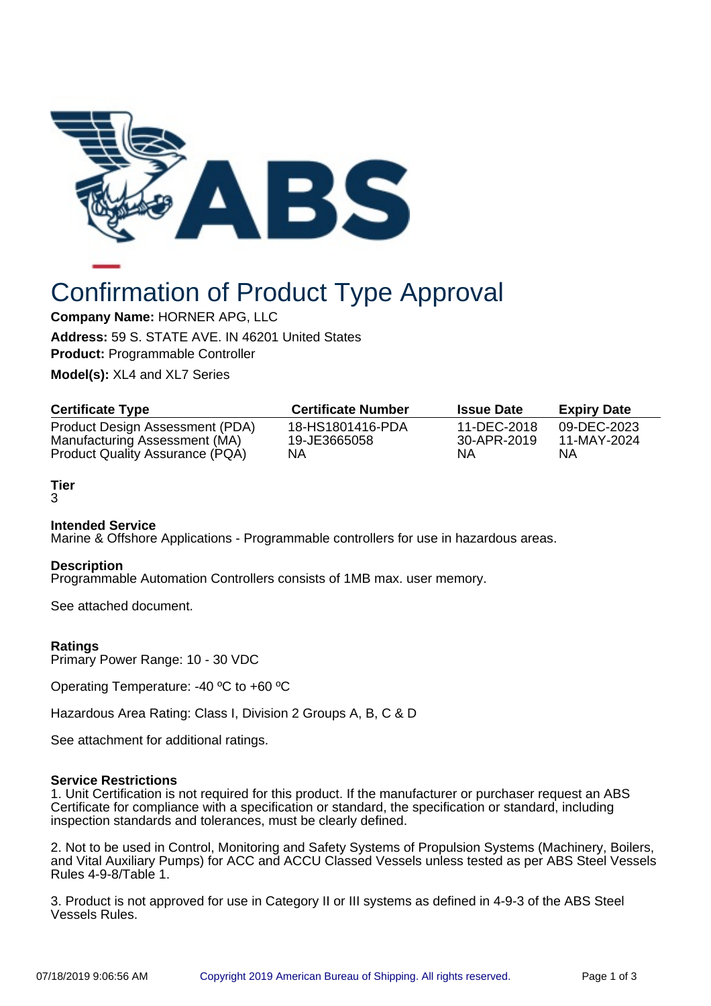

# Confirmation of Product Type Approval

**Company Name:** HORNER APG, LLC

**Address:** 59 S. STATE AVE. IN 46201 United States **Product:** Programmable Controller

**Model(s):** XL4 and XL7 Series

| <b>Certificate Type</b>                | <b>Certificate Number</b> | <b>Issue Date</b> | <b>Expiry Date</b> |
|----------------------------------------|---------------------------|-------------------|--------------------|
| Product Design Assessment (PDA)        | 18-HS1801416-PDA          | 11-DEC-2018       | 09-DEC-2023        |
| Manufacturing Assessment (MA)          | 19-JE3665058              | 30-APR-2019       | 11-MAY-2024        |
| <b>Product Quality Assurance (PQA)</b> | NΑ                        | NΑ                | ΝA                 |

## **Tier**

3

## **Intended Service**

Marine & Offshore Applications - Programmable controllers for use in hazardous areas.

### **Description**

Programmable Automation Controllers consists of 1MB max. user memory.

See attached document.

## **Ratings**

Primary Power Range: 10 - 30 VDC

Operating Temperature: -40 ºC to +60 ºC

Hazardous Area Rating: Class I, Division 2 Groups A, B, C & D

See attachment for additional ratings.

### **Service Restrictions**

1. Unit Certification is not required for this product. If the manufacturer or purchaser request an ABS Certificate for compliance with a specification or standard, the specification or standard, including inspection standards and tolerances, must be clearly defined.

2. Not to be used in Control, Monitoring and Safety Systems of Propulsion Systems (Machinery, Boilers, and Vital Auxiliary Pumps) for ACC and ACCU Classed Vessels unless tested as per ABS Steel Vessels Rules 4-9-8/Table 1.

3. Product is not approved for use in Category II or III systems as defined in 4-9-3 of the ABS Steel Vessels Rules.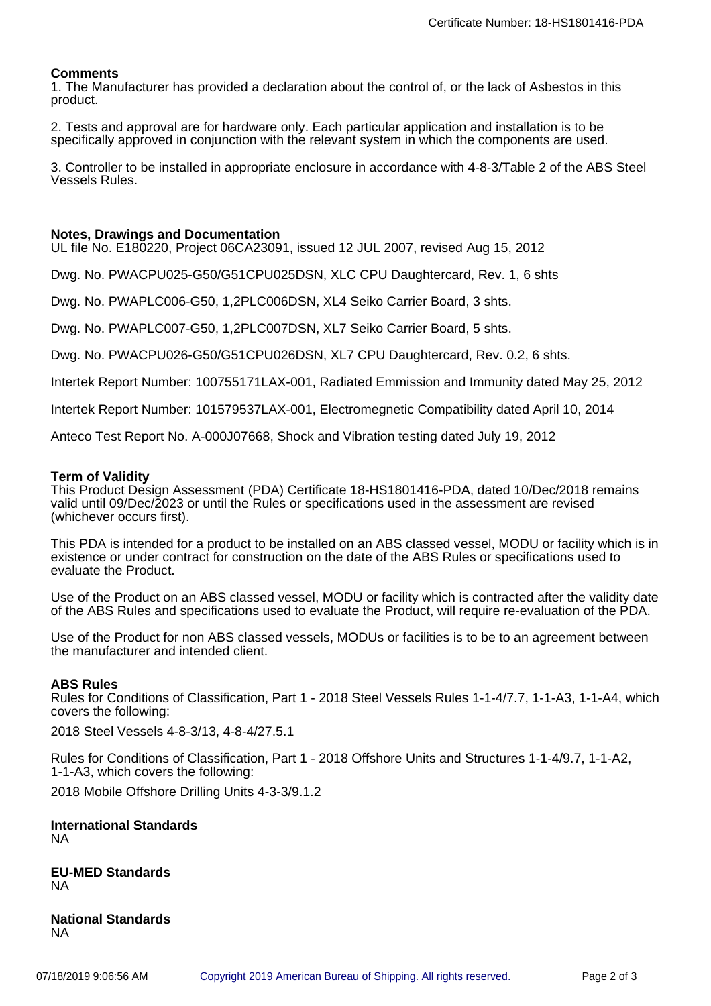## **Comments**

1. The Manufacturer has provided a declaration about the control of, or the lack of Asbestos in this product.

2. Tests and approval are for hardware only. Each particular application and installation is to be specifically approved in conjunction with the relevant system in which the components are used.

3. Controller to be installed in appropriate enclosure in accordance with 4-8-3/Table 2 of the ABS Steel Vessels Rules.

#### **Notes, Drawings and Documentation**

UL file No. E180220, Project 06CA23091, issued 12 JUL 2007, revised Aug 15, 2012

Dwg. No. PWACPU025-G50/G51CPU025DSN, XLC CPU Daughtercard, Rev. 1, 6 shts

Dwg. No. PWAPLC006-G50, 1,2PLC006DSN, XL4 Seiko Carrier Board, 3 shts.

Dwg. No. PWAPLC007-G50, 1,2PLC007DSN, XL7 Seiko Carrier Board, 5 shts.

Dwg. No. PWACPU026-G50/G51CPU026DSN, XL7 CPU Daughtercard, Rev. 0.2, 6 shts.

Intertek Report Number: 100755171LAX-001, Radiated Emmission and Immunity dated May 25, 2012

Intertek Report Number: 101579537LAX-001, Electromegnetic Compatibility dated April 10, 2014

Anteco Test Report No. A-000J07668, Shock and Vibration testing dated July 19, 2012

#### **Term of Validity**

This Product Design Assessment (PDA) Certificate 18-HS1801416-PDA, dated 10/Dec/2018 remains valid until 09/Dec/2023 or until the Rules or specifications used in the assessment are revised (whichever occurs first).

This PDA is intended for a product to be installed on an ABS classed vessel, MODU or facility which is in existence or under contract for construction on the date of the ABS Rules or specifications used to evaluate the Product.

Use of the Product on an ABS classed vessel, MODU or facility which is contracted after the validity date of the ABS Rules and specifications used to evaluate the Product, will require re-evaluation of the PDA.

Use of the Product for non ABS classed vessels, MODUs or facilities is to be to an agreement between the manufacturer and intended client.

#### **ABS Rules**

Rules for Conditions of Classification, Part 1 - 2018 Steel Vessels Rules 1-1-4/7.7, 1-1-A3, 1-1-A4, which covers the following:

2018 Steel Vessels 4-8-3/13, 4-8-4/27.5.1

Rules for Conditions of Classification, Part 1 - 2018 Offshore Units and Structures 1-1-4/9.7, 1-1-A2, 1-1-A3, which covers the following:

2018 Mobile Offshore Drilling Units 4-3-3/9.1.2

**International Standards** NA

**EU-MED Standards** NA

**National Standards** NA